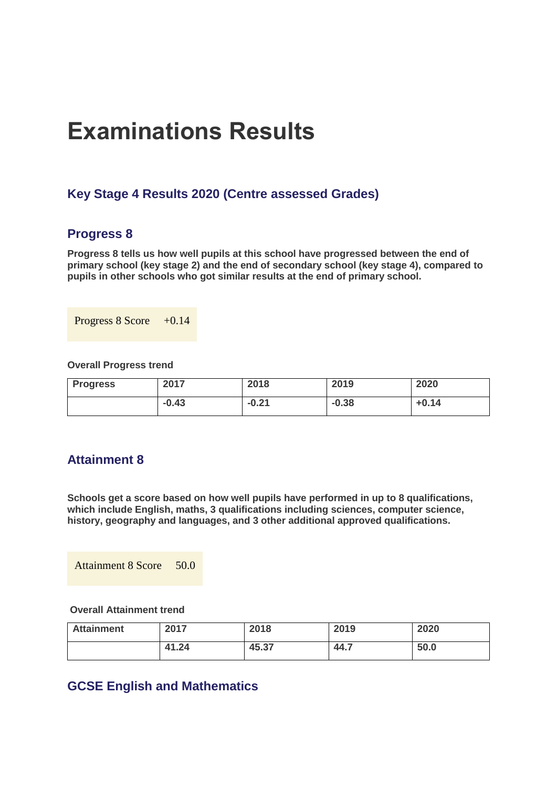# **Examinations Results**

# **Key Stage 4 Results 2020 (Centre assessed Grades)**

## **Progress 8**

**Progress 8 tells us how well pupils at this school have progressed between the end of primary school (key stage 2) and the end of secondary school (key stage 4), compared to pupils in other schools who got similar results at the end of primary school.**

Progress  $8 \text{ Score} +0.14$ 

**Overall Progress trend**

| <b>Progress</b> | 2017    | 2018    | 2019    | 2020    |
|-----------------|---------|---------|---------|---------|
|                 | $-0.43$ | $-0.21$ | $-0.38$ | $+0.14$ |

# **Attainment 8**

**Schools get a score based on how well pupils have performed in up to 8 qualifications, which include English, maths, 3 qualifications including sciences, computer science, history, geography and languages, and 3 other additional approved qualifications.**

Attainment 8 Score 50.0

## **Overall Attainment trend**

| <b>Attainment</b> | 2017  | 2018  | 2019 | 2020 |
|-------------------|-------|-------|------|------|
|                   | 41.24 | 45.37 | 44.7 | 50.0 |

# **GCSE English and Mathematics**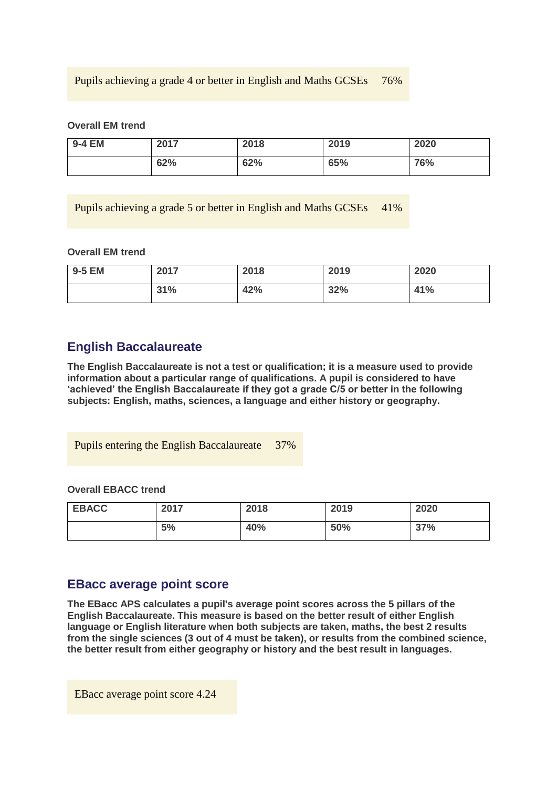## Pupils achieving a grade 4 or better in English and Maths GCSEs 76%

#### **Overall EM trend**

| 9-4 EM | 2017 | 2018 | 2019 | 2020 |
|--------|------|------|------|------|
|        | 62%  | 62%  | 65%  | 76%  |

Pupils achieving a grade 5 or better in English and Maths GCSEs 41%

#### **Overall EM trend**

| 9-5 EM | 2017 | 2018 | 2019 | 2020 |
|--------|------|------|------|------|
|        | 31%  | 42%  | 32%  | 41%  |

## **English Baccalaureate**

**The English Baccalaureate is not a test or qualification; it is a measure used to provide information about a particular range of qualifications. A pupil is considered to have 'achieved' the English Baccalaureate if they got a grade C/5 or better in the following subjects: English, maths, sciences, a language and either history or geography.**

Pupils entering the English Baccalaureate 37%

### **Overall EBACC trend**

| <b>EBACC</b> | 2017 | 2018 | 2019 | 2020 |
|--------------|------|------|------|------|
|              | 5%   | 40%  | 50%  | 37%  |

## **EBacc average point score**

**The EBacc APS calculates a pupil's average point scores across the 5 pillars of the English Baccalaureate. This measure is based on the better result of either English language or English literature when both subjects are taken, maths, the best 2 results from the single sciences (3 out of 4 must be taken), or results from the combined science, the better result from either geography or history and the best result in languages.**

EBacc average point score 4.24